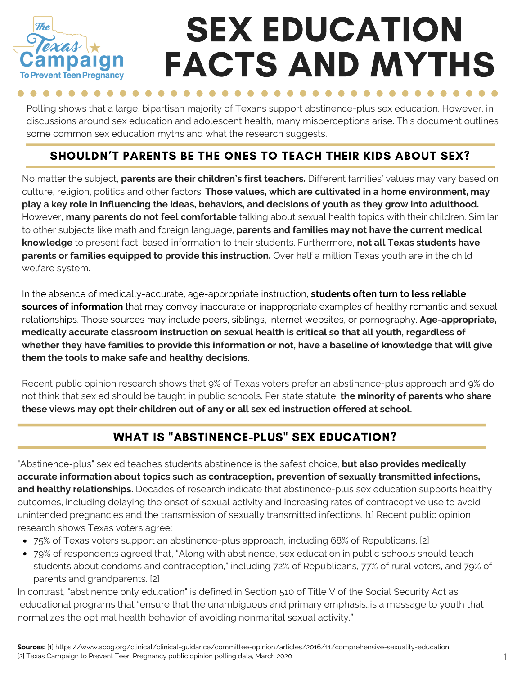

# SEX EDUCATION FACTS AND MYTHS

Polling shows that a large, bipartisan majority of Texans support abstinence-plus sex education. However, in discussions around sex education and adolescent health, many misperceptions arise. This document outlines some common sex education myths and what the research suggests.

### SHOULDN'T PARENTS BE THE ONES TO TEACH THEIR KIDS ABOUT SEX?

No matter the subject, **parents are their children's first teachers.** Different families' values may vary based on culture, religion, politics and other factors. **Those values, which are cultivated in a home environment, may** play a key role in influencing the ideas, behaviors, and decisions of youth as they grow into adulthood. However, **many parents do not feel comfortable** talking about sexual health topics with their children. Similar to other subjects like math and foreign language, **parents and families may not have the current medical knowledge** to present fact-based information to their students. Furthermore, **not all Texas students have parents or families equipped to provide this instruction.** Over half a million Texas youth are in the child welfare system.

In the absence of medically-accurate, age-appropriate instruction, **students often turn to less reliable sources of information** that may convey inaccurate or inappropriate examples of healthy romantic and sexual relationships. Those sources may include peers, siblings, internet websites, or pornography. **Age-appropriate, medically accurate classroom instruction on sexual health is critical so that all youth, regardless of** whether they have families to provide this information or not, have a baseline of knowledge that will give **them the tools to make safe and healthy decisions.**

Recent public opinion research shows that 9% of Texas voters prefer an abstinence-plus approach and 9% do not think that sex ed should be taught in public schools. Per state statute, **the minority of parents who share these views may opt their children out of any or all sex ed instruction offered at school.**

#### WHAT IS "ABSTINENCE-PLUS" SEX EDUCATION?

"Abstinence-plus" sex ed teaches students abstinence is the safest choice, **but also provides medically accurate information about topics such as contraception, prevention of sexually transmitted infections, and healthy relationships.** Decades of research indicate that abstinence-plus sex education supports healthy outcomes, including delaying the onset of sexual activity and increasing rates of contraceptive use to avoid unintended pregnancies and the transmission of sexually transmitted infections. [1] Recent public opinion research shows Texas voters agree:

- 75% of Texas voters support an abstinence-plus approach, including 68% of Republicans. [2]
- 79% of respondents agreed that, "Along with abstinence, sex education in public schools should teach students about condoms and contraception," including 72% of Republicans, 77% of rural voters, and 79% of parents and grandparents. [2]

In contrast, "abstinence only education" is defined in Section 510 of Title V of the Social Security Act as educational programs that "ensure that the unambiguous and primary emphasis…is a message to youth that normalizes the optimal health behavior of avoiding nonmarital sexual activity."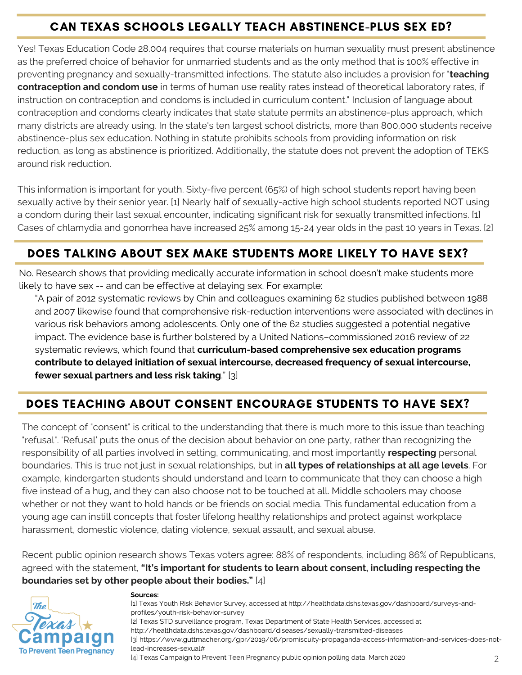# CAN TEXAS SCHOOLS LEGALLY TEACH ABSTINENCE-PLUS SEX ED?

Yes! Texas Education Code 28.004 requires that course materials on human sexuality must present abstinence as the preferred choice of behavior for unmarried students and as the only method that is 100% effective in preventing pregnancy and sexually-transmitted infections. The statute also includes a provision for "**teaching contraception and condom use** in terms of human use reality rates instead of theoretical laboratory rates, if instruction on contraception and condoms is included in curriculum content." Inclusion of language about contraception and condoms clearly indicates that state statute permits an abstinence-plus approach, which many districts are already using. In the state's ten largest school districts, more than 800,000 students receive abstinence-plus sex education. Nothing in statute prohibits schools from providing information on risk reduction, as long as abstinence is prioritized. Additionally, the statute does not prevent the adoption of TEKS around risk reduction.

This information is important for youth. Sixty-five percent (65%) of high school students report having been sexually active by their senior year. [1] Nearly half of sexually-active high school students reported NOT using a condom during their last sexual encounter, indicating significant risk for sexually transmitted infections. [1] Cases of chlamydia and gonorrhea have increased 25% among 15-24 year olds in the past 10 years in Texas. [2]

### DOES TALKING ABOUT SEX MAKE STUDENTS MORE LIKELY TO HAVE SEX?

No. Research shows that providing medically accurate information in school doesn't make students more likely to have sex -- and can be effective at delaying sex. For example:

"A pair of 2012 systematic reviews by Chin and colleagues examining 62 studies published between 1988 and 2007 likewise found that comprehensive risk-reduction interventions were associated with declines in various risk behaviors among adolescents. Only one of the 62 studies suggested a potential negative impact. The evidence base is further bolstered by a United Nations–commissioned 2016 review of 22 systematic reviews, which found that **curriculum-based comprehensive sex education programs contribute to delayed initiation of sexual intercourse, decreased frequency of sexual intercourse, fewer sexual partners and less risk taking**." [3]

# DOES TEACHING ABOUT CONSENT ENCOURAGE STUDENTS TO HAVE SEX?

The concept of "consent" is critical to the understanding that there is much more to this issue than teaching "refusal". 'Refusal' puts the onus of the decision about behavior on one party, rather than recognizing the responsibility of all parties involved in setting, communicating, and most importantly **respecting** personal boundaries. This is true not just in sexual relationships, but in **all types of relationships at all age levels**. For example, kindergarten students should understand and learn to communicate that they can choose a high five instead of a hug, and they can also choose not to be touched at all. Middle schoolers may choose whether or not they want to hold hands or be friends on social media. This fundamental education from a young age can instill concepts that foster lifelong healthy relationships and protect against workplace harassment, domestic violence, dating violence, sexual assault, and sexual abuse.

Recent public opinion research shows Texas voters agree: 88% of respondents, including 86% of Republicans, agreed with the statement, **"It's important for students to learn about consent, including respecting the boundaries set by other people about their bodies."** [4]



#### **Sources:**

[4] Texas Campaign to Prevent Teen Pregnancy public opinion polling data, March 2020 [1] Texas Youth Risk Behavior Survey, accessed at http://healthdata.dshs.texas.gov/dashboard/surveys-andprofiles/youth-risk-behavior-survey [2] Texas STD surveillance program, Texas Department of State Health Services, accessed at http://healthdata.dshs.texas.gov/dashboard/diseases/sexually-transmitted-diseases [3] https://www.guttmacher.org/gpr/2019/06/promiscuity-propaganda-access-information-and-services-does-notlead-increases-sexual# 2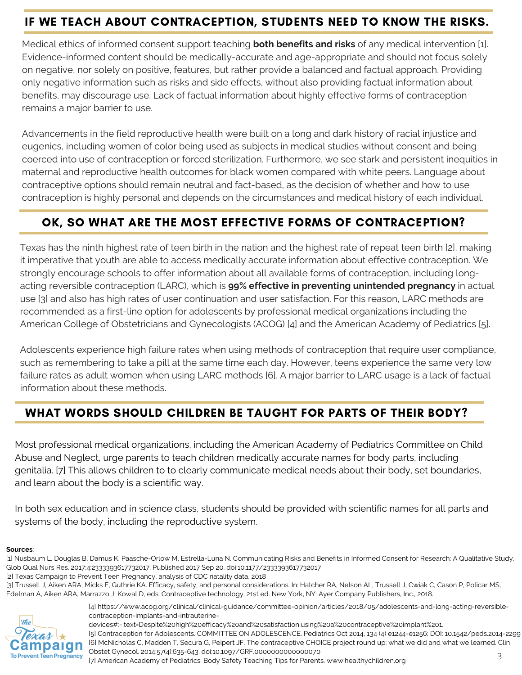# IF WE TEACH ABOUT CONTRACEPTION, STUDENTS NEED TO KNOW THE RISKS.

Medical ethics of informed consent support teaching **both benefits and risks** of any medical intervention [1]. Evidence-informed content should be medically-accurate and age-appropriate and should not focus solely on negative, nor solely on positive, features, but rather provide a balanced and factual approach. Providing only negative information such as risks and side effects, without also providing factual information about benefits, may discourage use. Lack of factual information about highly effective forms of contraception remains a major barrier to use.

Advancements in the field reproductive health were built on a long and dark history of racial injustice and eugenics, including women of color being used as subjects in medical studies without consent and being coerced into use of contraception or forced sterilization. Furthermore, we see stark and persistent inequities in maternal and reproductive health outcomes for black women compared with white peers. Language about contraceptive options should remain neutral and fact-based, as the decision of whether and how to use contraception is highly personal and depends on the circumstances and medical history of each individual.

#### OK, SO WHAT ARE THE MOST EFFECTIVE FORMS OF CONTRACEPTION?

Texas has the ninth highest rate of teen birth in the nation and the highest rate of repeat teen birth [2], making it imperative that youth are able to access medically accurate information about effective contraception. We strongly encourage schools to offer information about all available forms of contraception, including longacting reversible contraception (LARC), which is **99% effective in preventing unintended pregnancy** in actual use [3] and also has high rates of user continuation and user satisfaction. For this reason, LARC methods are recommended as a first-line option for adolescents by professional medical organizations including the American College of Obstetricians and Gynecologists (ACOG) [4] and the American Academy of Pediatrics [5].

Adolescents experience high failure rates when using methods of contraception that require user compliance, such as remembering to take a pill at the same time each day. However, teens experience the same very low failure rates as adult women when using LARC methods [6]. A major barrier to LARC usage is a lack of factual information about these methods.

#### WHAT WORDS SHOULD CHILDREN BE TAUGHT FOR PARTS OF THEIR BODY?

Most professional medical organizations, including the American Academy of Pediatrics Committee on Child Abuse and Neglect, urge parents to teach children medically accurate names for body parts, including genitalia. [7] This allows children to to clearly communicate medical needs about their body, set boundaries, and learn about the body is a scientific way.

In both sex education and in science class, students should be provided with scientific names for all parts and systems of the body, including the reproductive system.

#### **Sources**:

[2] Texas Campaign to Prevent Teen Pregnancy, analysis of CDC natality data, 2018

<sup>[3]</sup> Trussell J, Aiken ARA, Micks E, Guthrie KA. Efficacy, safety, and personal considerations. In: Hatcher RA, Nelson AL, Trussell J, Cwiak C, Cason P, Policar MS, Edelman A, Aiken ARA, Marrazzo J, Kowal D, eds. Contraceptive technology. 21st ed. New York, NY: Ayer Company Publishers, Inc., 2018.



[4] https://www.acog.org/clinical/clinical-guidance/committee-opinion/articles/2018/05/adolescents-and-long-acting-reversiblecontraception-implants-and-intrauterine-

3 devices#:~:text=Despite%20high%20efficacy%20and%20satisfaction,using%20a%20contraceptive%20implant%201. [5] Contraception for Adolescents. COMMITTEE ON ADOLESCENCE. Pediatrics Oct 2014, 134 (4) e1244-e1256; DOI: 10.1542/peds.2014-2299 [6] McNicholas C, Madden T, Secura G, Peipert JF. The contraceptive CHOICE project round up: what we did and what we learned. Clin Obstet Gynecol. 2014;57(4):635-643. doi:10.1097/GRF.0000000000000070

<sup>[1]</sup> Nusbaum L, Douglas B, Damus K, Paasche-Orlow M, Estrella-Luna N. Communicating Risks and Benefits in Informed Consent for Research: A Qualitative Study. Glob Qual Nurs Res. 2017;4:2333393617732017. Published 2017 Sep 20. doi:10.1177/2333393617732017